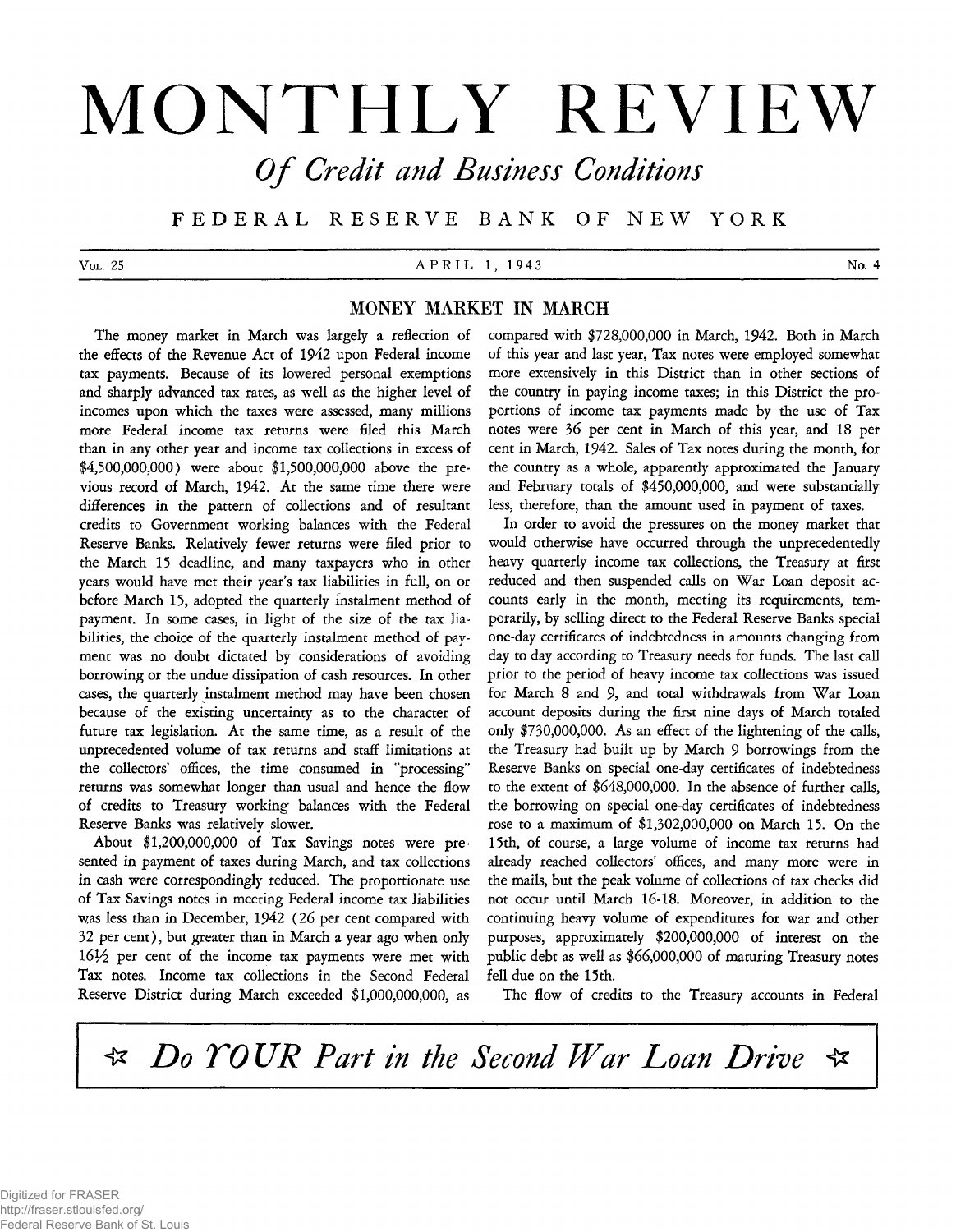# **MONTHLY REVIEW** *O f Credit and Business Conditions*

**F E D E R A L R E S E R V E B A N K O F N E W Y O R K**

## **V o** L . 25 No. 4 **P R I L** 1, 1943 No. 4

# **MONEY MARKET IN MARCH**

**The money market in March was largely a reflection of the effects of the Revenue Act of 1942 upon Federal income tax payments. Because of its lowered personal exemptions and sharply advanced tax rates, as well as the higher level of incomes upon which the taxes were assessed, many millions more Federal income tax returns were filed this March than in any other year and income tax collections in excess of \$4,500,000,000) were about \$1,500,000,000 above the previous record of March, 1942. At the same time there were differences in the pattern of collections and of resultant credits to Government working balances with the Federal Reserve Banks. Relatively fewer returns were filed prior to the March 15 deadline, and many taxpayers who in other years would have met their year's tax liabilities in full, on or before March 15, adopted the quarterly instalment method of payment. In some cases, in light of the size of the tax liabilities, the choice of the quarterly instalment method of payment was no doubt dictated by considerations of avoiding borrowing or the undue dissipation of cash resources. In other cases, the quarterly instalment method may have been chosen because of the existing uncertainty as to the character of future tax legislation. At the same time, as a result of the unprecedented volume of tax returns and staff limitations at the collectors' offices, the time consumed in "processing" returns was somewhat longer than usual and hence the flow of credits to Treasury working balances with the Federal Reserve Banks was relatively slower.**

**About \$1,200,000,000 of Tax Savings notes were presented in payment of taxes during March, and tax collections in cash were correspondingly reduced. The proportionate use of Tax Savings notes in meeting Federal income tax liabilities was less than in December, 1942 (26 per cent compared with 32 per cent), but greater than in March a year ago when only 1***6V2* **per cent of the income tax payments were met with Tax notes. Income tax collections in the Second Federal Reserve District during March exceeded \$1,000,000,000, as**

**compared with \$728,000,000 in March, 1942. Both in March of this year and last year, Tax notes were employed somewhat more extensively in this District than in other sections of the country in paying income taxes; in this District the proportions of income tax payments made by the use of Tax notes were 36 per cent in March of this year, and 18 per cent in March, 1942. Sales of Tax notes during the month, for the country as a whole, apparently approximated the January and February totals of \$450,000,000, and were substantially less, therefore, than the amount used in payment of taxes.**

**In order to avoid the pressures on the money market that would otherwise have occurred through the unprecedentedly heavy quarterly income tax collections, the Treasury at first** reduced and then suspended calls on War Loan deposit ac**counts early in the month, meeting its requirements, temporarily, by selling direct to the Federal Reserve Banks special one-day certificates of indebtedness in amounts changing from day to day according to Treasury needs for funds. The last call prior to the period of heavy income tax collections was issued** for March 8 and 9, and total withdrawals from War Loan **account deposits during the first nine days of March totaled only \$730,000,000. As an effect of the lightening of the calls, the Treasury had built up by March 9 borrowings from the Reserve Banks on special one-day certificates of indebtedness to the extent of \$648,000,000. In the absence of further calls, the borrowing on special one-day certificates of indebtedness rose to a maximum of \$1,302,000,000 on March 15. On the 15 th, of course, a large volume of income tax returns had already reached collectors' offices, and many more were in the mails, but the peak volume of collections of tax checks did not occur until March 16-18. Moreover, in addition to the continuing heavy volume of expenditures for war and other purposes, approximately \$200,000,000 of interest on the public debt as well as \$66,000,000 of maturing Treasury notes** fell due on the 15th.

**The flow of credits to the Treasury accounts in Federal**

 $\triangleleft$  *Do YOUR Part in the Second War Loan Drive* ⊀≍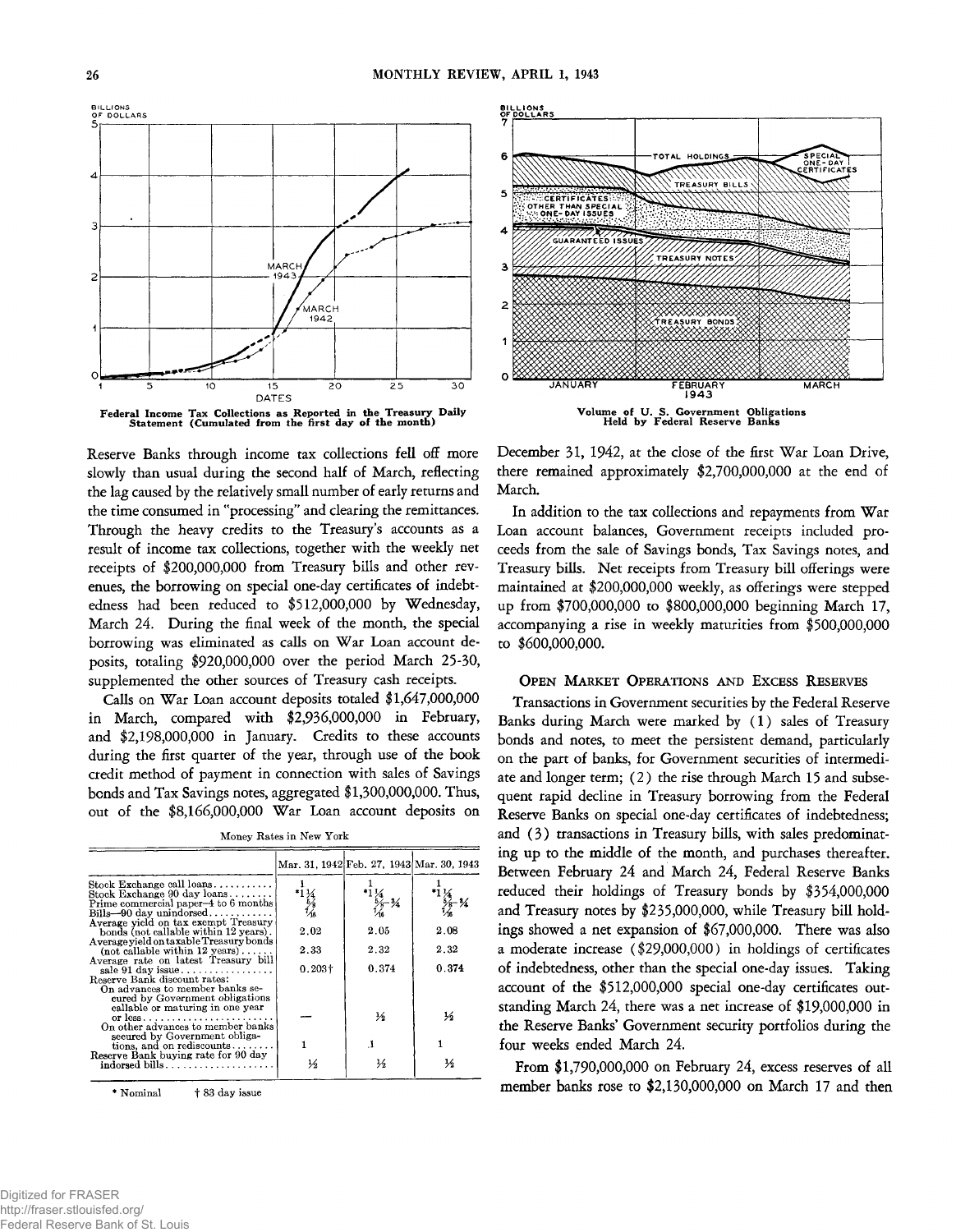**OF DOLLARS** MARCI -2 194 **MARCH** 1942  $2<sub>c</sub>$  $25$ 30  $15$ **DATES**



**Reserve Banks through income tax collections fell off more slowly than usual during the second half of March, reflecting the lag caused by the relatively small number of early returns and the time consumed in "processing" and clearing the remittances. Through the heavy credits to the Treasury's accounts as a result of income tax collections, together with the weekly net receipts of \$200,000,000 from Treasury bills and other revenues, the borrowing on special one-day certificates of indebtedness had been reduced to \$512,000,000 by Wednesday, March 24. During the final week of the month, the special** borrowing was eliminated as calls on War Loan account de**posits, totaling \$920,000,000 over the period March 25-30, supplemented the other sources of Treasury cash receipts.**

**Calls on War Loan account deposits totaled \$1,647,000,000 in March, compared with \$2,936,000,000 in February, and \$2,198,000,000 in January. Credits to these accounts during the first quarter of the year, through use of the book credit method of payment in connection with sales of Savings bonds and Tax Savings notes, aggregated \$1,300,000,000. Thus, out of the \$8,166,000,000 War Loan account deposits on**

| Money Rates in New York |  |
|-------------------------|--|
|-------------------------|--|

|                                                                                  |                       |                                                             | Mar. 31, 1942 Feb. 27, 1943 Mar. 30, 1943                   |
|----------------------------------------------------------------------------------|-----------------------|-------------------------------------------------------------|-------------------------------------------------------------|
| Stock Exchange call loans                                                        |                       |                                                             |                                                             |
| Stock Exchange 90 day loans<br>Prime commercial paper-4 to 6 months              | $^{*1}$ $^{14}_{5/8}$ | $*1$ $\frac{1}{4}$<br>$*2 - 3$<br>$\frac{5}{4}$<br>$*3 - 3$ | $^{*1}\frac{1}{4}$<br>$^{5}\frac{5}{6}$ - $^{3}\frac{4}{4}$ |
| $\text{Bills}\text{---}90\text{ day unindorsed}\dots\ldots\ldots\ldots$          |                       |                                                             |                                                             |
| Average yield on tax exempt Treasury                                             |                       |                                                             |                                                             |
| bonds (not callable within 12 years).<br>Average yield on taxable Treasury bonds | 2.02                  | 2.05                                                        | 2.08                                                        |
| $(not callable within 12 years) \dots$                                           | 2.33                  | 2.32                                                        | 2.32                                                        |
| Average rate on latest Treasury bill                                             |                       |                                                             |                                                             |
|                                                                                  | $0.203\dagger$        | 0.374                                                       | 0.374                                                       |
| Reserve Bank discount rates:<br>On advances to member banks se-                  |                       |                                                             |                                                             |
| cured by Government obligations                                                  |                       |                                                             |                                                             |
| callable or maturing in one year                                                 |                       |                                                             |                                                             |
| or less<br>On other advances to member banks                                     |                       | $\frac{1}{2}$                                               | ⅓                                                           |
| secured by Government obliga-                                                    |                       |                                                             |                                                             |
| tions, and on rediscounts $\ldots$                                               |                       | -1                                                          |                                                             |
| Reserve Bank buying rate for 90 day                                              |                       |                                                             | ⅓                                                           |
| $indorsed \; bills \ldots \ldots \ldots \ldots \ldots \ldots$                    | $\frac{1}{2}$         | ⅓                                                           |                                                             |

\* Nominal **t** 83 day issue



Volume of U. S. Government Obligations Held by Federal Reserve Banks

**December 31, 1942, at the close of the first War Loan Drive, there remained approximately \$2,700,000,000 at the end of March.**

In addition to the tax collections and repayments from War **Loan account balances, Government receipts included proceeds from the sale of Savings bonds, Tax Savings notes, and Treasury bills. Net receipts from Treasury bill offerings were maintained at \$200,000,000 weekly, as offerings were stepped up from \$700,000,000 to \$800,000,000 beginning March 17, accompanying a rise in weekly maturities from \$500,000,000 to \$600,000,000.**

#### **O pen M arket O perations an d Excess Reserves**

**Transactions in Government securities by the Federal Reserve** Banks during March were marked by (1) sales of Treasury **bonds and notes, to meet the persistent demand, particularly on the part of banks, for Government securities of intermediate and longer term; (2 ) the rise through March 15 and subsequent rapid decline in Treasury borrowing from the Federal Reserve Banks on special one-day certificates of indebtedness;** and (3) transactions in Treasury bills, with sales predominat**ing up to the middle of the month, and purchases thereafter. Between February 24 and March 24, Federal Reserve Banks reduced their holdings of Treasury bonds by \$354,000,000 and Treasury notes by \$235,000,000, while Treasury bill holdings showed a net expansion of \$67,000,000. There was also a moderate increase (\$29,000,000) in holdings of certificates of indebtedness, other than the special one-day issues. Taking account of the \$512,000,000 special one-day certificates outstanding March 24, there was a net increase of \$19,000,000 in the Reserve Banks' Government security portfolios during the four weeks ended March 24.**

**From \$1,790,000,000 on February 24, excess reserves of all member banks rose to \$2,130,000,000 on March 17 and then**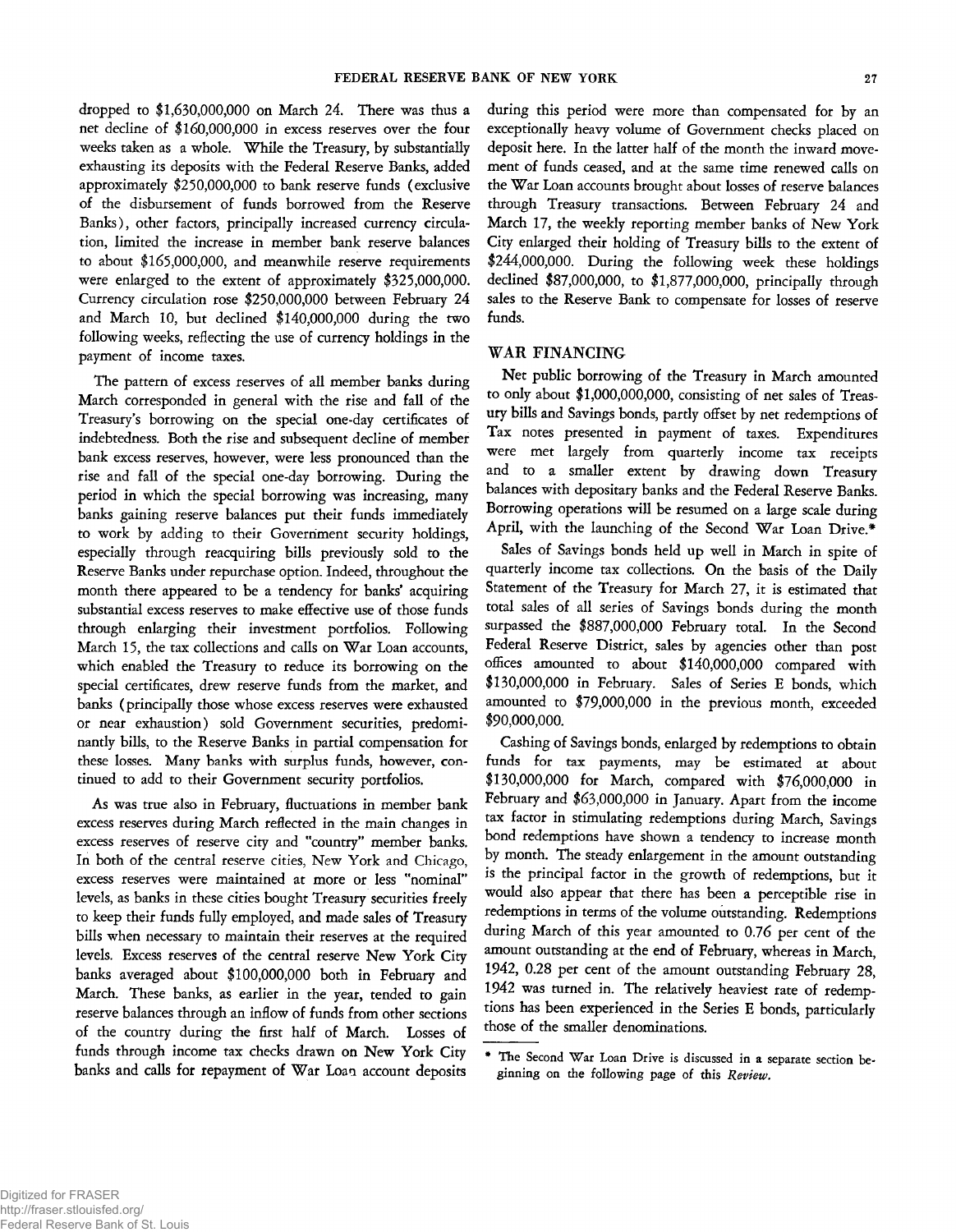**dropped to \$1,630,000,000 on March 24. There was thus a net decline of \$160,000,000 in excess reserves over the four weeks taken as a whole. While the Treasury, by substantially exhausting its deposits with the Federal Reserve Banks, added approximately \$250,000,000 to bank reserve funds (exclusive of the disbursement of funds borrowed from the Reserve Banks), other factors, principally increased currency circulation, limited the increase in member bank reserve balances to about \$165,000,000, and meanwhile reserve requirements were enlarged to the extent of approximately \$325,000,000. Currency circulation rose \$250,000,000 between February 24 and March 10, but declined \$140,000,000 during the two following weeks, reflecting the use of currency holdings in the payment of income taxes.**

**The pattern of excess reserves of all member banks during March corresponded in general with the rise and fall of the Treasury's borrowing on the special one-day certificates of indebtedness. Both the rise and subsequent decline of member bank excess reserves, however, were less pronounced than the rise and fall of the special one-day borrowing. During the period in which the special borrowing was increasing, many banks gaining reserve balances put their funds immediately to work by adding to their Government security holdings, especially through reacquiring bills previously sold to the Reserve Banks under repurchase option. Indeed, throughout the month there appeared to be a tendency for banks\* acquiring substantial excess reserves to make effective use of those funds through enlarging their investment portfolios. Following** March 15, the tax collections and calls on War Loan accounts, **which enabled the Treasury to reduce its borrowing on the special certificates, drew reserve funds from the market, and banks (principally those whose excess reserves were exhausted or near exhaustion) sold Government securities, predominantly bills, to the Reserve Banks in partial compensation for these losses. Many banks with surplus funds, however, continued to add to their Government security portfolios.**

**As was true also in February, fluctuations in member bank excess reserves during March reflected in the main changes in excess reserves of reserve city and "country" member banks. In both of the central reserve cities, New York and Chicago, excess reserves were maintained at more or less "nominal" levels, as banks in these cities bought Treasury securities freely to keep their funds fully employed, and made sales of Treasury bills when necessary to maintain their reserves at the required levels. Excess reserves of the central reserve New York City banks averaged about \$100,000,000 both in February and March. These banks, as earlier in the year, tended to gain reserve balances through an inflow of funds from other sections of the country during the first half of March. Losses of funds through income tax checks drawn on New York City** banks and calls for repayment of War Loan account deposits

**during this period were more than compensated for by an exceptionally heavy volume of Government checks placed on deposit here. In the latter half of the month the inward movement of funds ceased, and at the same time renewed calls on the W ar Loan accounts brought about losses of reserve balances through Treasury transactions. Between February 24 and March 17, the weekly reporting member banks of New York City enlarged their holding of Treasury bills to the extent of \$244,000,000. During the following week these holdings declined \$87,000,000, to \$1,877,000,000, principally through sales to the Reserve Bank to compensate for losses of reserve funds.**

#### **WAR FINANCING**

**Net public borrowing of the Treasury in March amounted to only about \$1,000,000,000, consisting of net sales of Treasury bills and Savings bonds, partly offset by net redemptions of Tax notes presented in payment of taxes. Expenditures were met largely from quarterly income tax receipts and to a smaller extent by drawing down Treasury balances with depositary banks and the Federal Reserve Banks. Borrowing operations will be resumed on a large scale during** April, with the launching of the Second War Loan Drive.\*

**Sales of Savings bonds held up well in March in spite of quarterly income tax collections. On the basis of the Daily Statement of the Treasury for March 27, it is estimated that total sales of all series of Savings bonds during the month surpassed the \$887,000,000 February total. In the Second Federal Reserve District, sales by agencies other than post offices amounted to about \$140,000,000 compared with \$130,000,000 in February. Sales of Series E bonds, which amounted to \$79,000,000 in the previous month, exceeded \$90,000,000.**

**Cashing of Savings bonds, enlarged by redemptions to obtain funds for tax payments, may be estimated at about \$130,000,000 for March, compared with \$76,000,000 in February and \$63,000,000 in January. Apart from the income tax factor in stimulating redemptions during March, Savings bond redemptions have shown a tendency to increase month by month. The steady enlargement in the amount outstanding is the principal factor in the growth of redemptions, but it would also appear that there has been a perceptible rise in redemptions in terms of the volume outstanding. Redemptions during March of this year amounted to 0.76 per cent of the amount outstanding at the end of February, whereas in March, 1942, 0.28 per cent of the amount outstanding February 28, 1942 was turned in. The relatively heaviest rate of redemptions has been experienced in the Series E bonds, particularly those of the smaller denominations.**

The Second War Loan Drive is discussed in a separate section be**ginning on the following page of this** *Review.*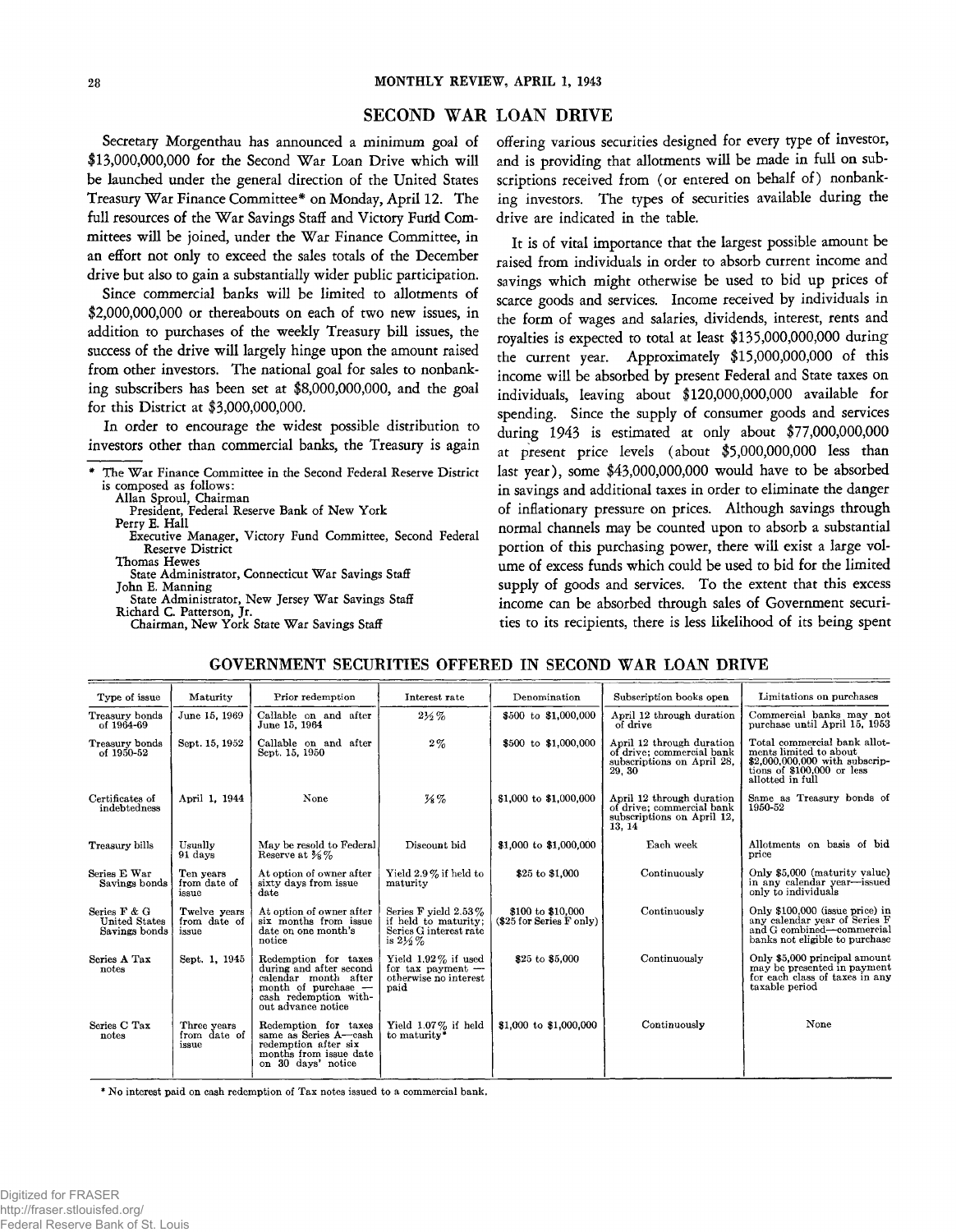#### SECOND WAR LOAN DRIVI

**Secretary Morgenthau has announced a minimum goal of** \$13,000,000,000 for the Second War Loan Drive which will **be launched under the general direction of the United States** Treasury War Finance Committee\* on Monday, April 12. The full resources of the War Savings Staff and Victory Fund Committees will be joined, under the War Finance Committee, in **an effort not only to exceed the sales totals of the December drive but also to gain a substantially wider public participation.**

**Since commercial banks will be limited to allotments of \$2,000,000,000 or thereabouts on each of two new issues, in addition to purchases of the weekly Treasury bill issues, the success of the drive will largely hinge upon the amount raised from other investors. The national goal for sales to nonbanking subscribers has been set at \$8,000,000,000, and the goal for this District at \$3,000,000,000.**

**In order to encourage the widest possible distribution to investors other than commercial banks, the Treasury is again**

**Allan Sproul, Chairman**

- **President, Federal Reserve Bank of New York Perry E. Hall**
- **Executive Manager, Victory Fund Committee, Second Federal Reserve District**
- **Thomas Hewes** State Administrator, Connecticut War Savings Staff
- **John E. Manning** State Administrator, New Jersey War Savings Staff **Richard C. Patterson, Jr.**
	- Chairman, New York State War Savings Staff

**offering various securities designed for every type of investor, and is providing that allotments will be made in full on subscriptions received from (or entered on behalf of) nonbanking investors. The types of securities available during the drive are indicated in the table.**

**It is of vital importance that the largest possible amount be raised from individuals in order to absorb current income and savings which might otherwise be used to bid up prices of scarce goods and services. Income received by individuals in the form of wages and salaries, dividends, interest, rents and royalties is expected to total at least \$135,000,000,000 during the current year. Approximately \$15,000,000,000 of this income will be absorbed by present Federal and State taxes on individuals, leaving about \$120,000,000,000 available for spending. Since the supply of consumer goods and services during 1943 is estimated at only about \$77,000,000,000 at present price levels (about \$5,000,000,000 less than last year), some \$43,000,000,000 would have to be absorbed in savings and additional taxes in order to eliminate the danger of inflationary pressure on prices. Although savings through normal channels may be counted upon to absorb a substantial portion of this purchasing power, there will exist a large volume of excess funds which could be used to bid for the limited supply of goods and services. To the extent that this excess income can be absorbed through sales of Government securities to its recipients, there is less likelihood of its being spent**

#### **GOVERNMENT SECURITIES OFFERED IN SECOND WAR LOAN DRIVE**

| Type of issue                                         | Maturity                              | Prior redemption                                                                                                                              | Interest rate                                                                                    | Denomination                                      | Subscription books open                                                                        | Limitations on purchases                                                                                                                    |
|-------------------------------------------------------|---------------------------------------|-----------------------------------------------------------------------------------------------------------------------------------------------|--------------------------------------------------------------------------------------------------|---------------------------------------------------|------------------------------------------------------------------------------------------------|---------------------------------------------------------------------------------------------------------------------------------------------|
| Treasury bonds<br>of 1964-69                          | June 15, 1969                         | Callable on and after<br>June 15, 1964                                                                                                        | $2\frac{1}{2}\%$                                                                                 | \$500 to \$1,000,000                              | April 12 through duration<br>of drive                                                          | Commercial banks may not<br>purchase until April 15, 1953                                                                                   |
| Treasury bonds<br>of 1950-52                          | Sept. 15, 1952                        | Callable on and after<br>Sept. 15, 1950                                                                                                       | $2\%$                                                                                            | \$500 to \$1,000,000                              | April 12 through duration<br>of drive; commercial bank<br>subscriptions on April 28,<br>29, 30 | Total commercial bank allot-<br>ments limited to about<br>\$2,000,000,000 with subscrip-<br>tions of $$100,000$ or less<br>allotted in full |
| Certificates of<br>indebtedness                       | April 1, 1944                         | None                                                                                                                                          | $\frac{7}{8}$ %                                                                                  | \$1,000 to \$1,000,000                            | April 12 through duration<br>of drive: commercial bank<br>subscriptions on April 12.<br>13, 14 | Same as Treasury bonds of<br>1950-52                                                                                                        |
| Treasury bills                                        | Usually<br>91 days                    | May be resold to Federal<br>Reserve at $\frac{3}{8}$ %                                                                                        | Discount bid                                                                                     | \$1,000 to \$1,000,000                            | Each week                                                                                      | Allotments on basis of bid<br>price                                                                                                         |
| Series E War<br>Savings bonds                         | Ten years<br>from date of<br>issue    | At option of owner after<br>sixty days from issue<br>date                                                                                     | Yield 2.9% if held to<br>maturity                                                                | \$25 to \$1,000                                   | Continuously                                                                                   | Only \$5,000 (maturity value)<br>in any calendar year-issued<br>only to individuals                                                         |
| Series F & G<br><b>United States</b><br>Savings bonds | Twelve years<br>from date of<br>issue | At option of owner after<br>six months from issue<br>date on one month's<br>notice                                                            | Series F yield $2.53\%$<br>if held to maturity:<br>Series G interest rate<br>is $2\frac{1}{2}\%$ | \$100 to \$10,000<br>$(\$25$ for Series $F$ only) | Continuously                                                                                   | Only \$100,000 (issue price) in<br>any calendar year of Series F<br>and G combined-commercial<br>banks not eligible to purchase             |
| Series A Tax<br>notes                                 | Sept. 1, 1945                         | Redemption for taxes<br>during and after second<br>calendar month after<br>month of purchase -<br>cash redemption with-<br>out advance notice | Yield $1.92\%$ if used<br>for tax payment $-$<br>otherwise no interest<br>paid                   | \$25 to \$5,000                                   | Continuously                                                                                   | Only \$5,000 principal amount<br>may be presented in payment<br>for each class of taxes in any<br>taxable period                            |
| Series C Tax<br>notes                                 | Three years<br>from date of<br>issue  | Redemption for taxes<br>same as Series A-eash<br>redemption after six<br>months from issue date<br>on 30 days' notice                         | Yield $1.07\%$ if held<br>to maturity*                                                           | \$1,000 to \$1,000,000                            | Continuously                                                                                   | None                                                                                                                                        |

**\* No interest paid on cash redemption of Tax notes issued to a commercial bank.**

The War Finance Committee in the Second Federal Reserve District **is composed as follows:**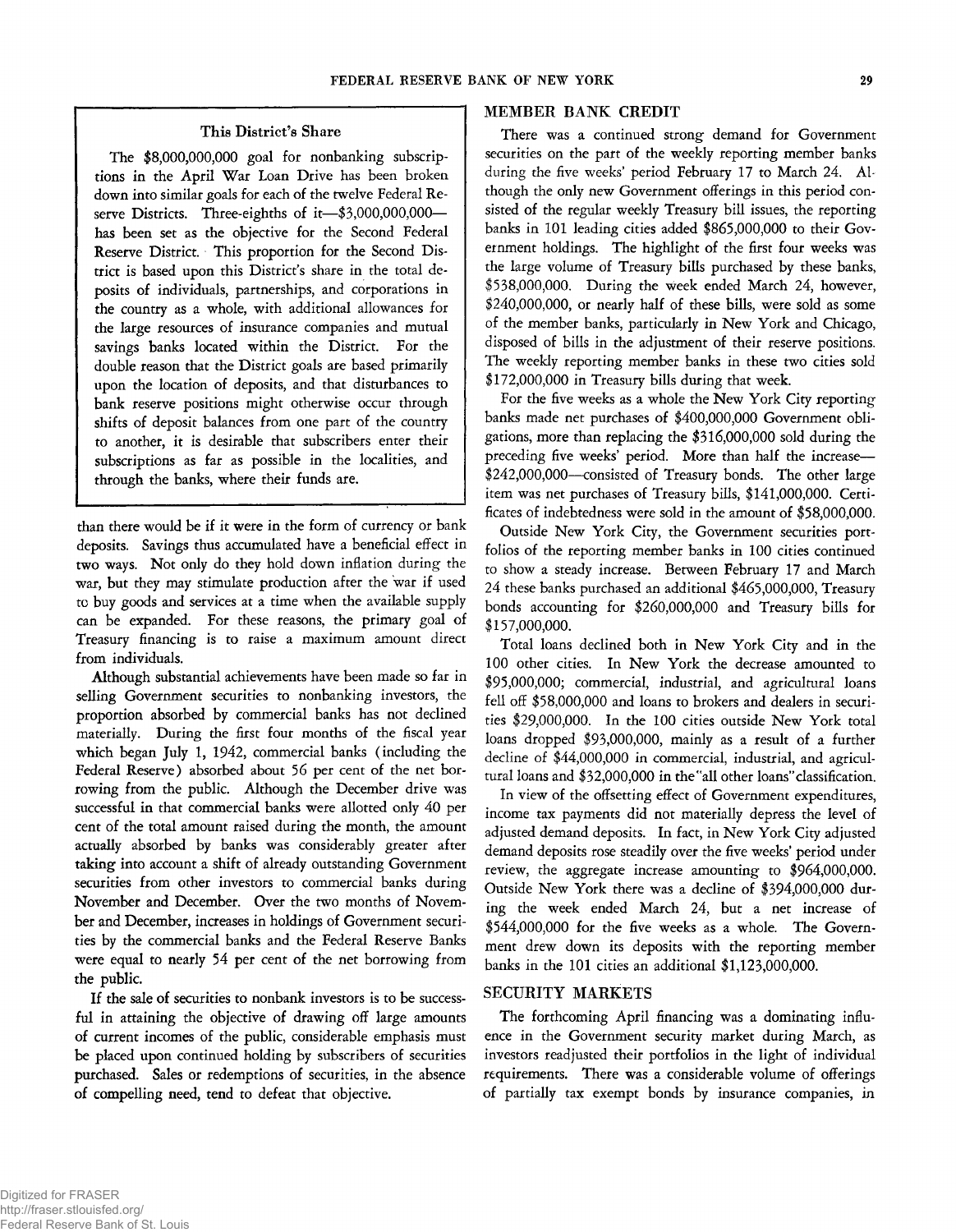## **This District's Share**

**The \$8,000,000,000 goal for nonbanking subscriptions in the April War Loan Drive has been broken down into similar goals for each of the twelve Federal Reserve Districts. Three-eighths of it— \$3,000,000,000 has been set as the objective for the Second Federal Reserve District. This proportion for the Second Dis**trict is based upon this District's share in the total de**posits of individuals, partnerships, and corporations in the country as a whole, with additional allowances for the large resources of insurance companies and mutual savings banks located within the District. For the double reason that the District goals are based primarily upon the location of deposits, and that disturbances to bank reserve positions might otherwise occur through shifts of deposit balances from one part of the country to another, it is desirable that subscribers enter their subscriptions as far as possible in the localities, and through the banks, where their funds are.**

**than there would be if it were in the form of currency or bank deposits. Savings thus accumulated have a beneficial effect in two ways. Not only do they hold down inflation during the war, but they may stimulate production after the 'war if used tc buy goods and services at a time when the available supply can be expanded. For these reasons, the primary goal of Treasury financing is to raise a maximum amount direct from individuals.**

**Although substantial achievements have been made so far in selling Government securities to nonbanking investors, the proportion absorbed by commercial banks has not declined materially. During the first four months of the fiscal year which began July 1, 1942, commercial banks (including the Federal Reserve) absorbed about 56 per cent of the net borrowing from the public. Although the December drive was successful in that commercial banks were allotted only 40 per cent of the total amount raised during the month, the amount actually absorbed by banks was considerably greater after taking into account a shift of already outstanding Government securities from other investors to commercial banks during November and December. Over the two months of November and December, increases in holdings of Government securities by the commercial banks and the Federal Reserve Banks were equal to nearly 54 per cent of the net borrowing from the public.**

**If the sale of securities to nonbank investors is to be successful in attaining the objective of drawing off large amounts of current incomes of the public, considerable emphasis must be placed upon continued holding by subscribers of securities purchased. Sales or redemptions of securities, in the absence of compelling need, tend to defeat that objective.**

## **MEMBER BANK CREDIT**

**There was a continued strong demand for Government securities on the part of the weekly reporting member banks** during the five weeks' period February 17 to March 24. Al**though the only new Government offerings in this period consisted of the regular weekly Treasury bill issues, the reporting banks in 101 leading cities added \$865,000,000 to their Government holdings. The highlight of the first four weeks was the large volume of Treasury bills purchased by these banks, \$538,000,000. During the week ended March 24, however, \$240,000,000, or nearly half of these bills, were sold as some of the member banks, particularly in New York and Chicago, disposed of bills in the adjustment of their reserve positions. The weekly reporting member banks in these two cities sold \$172,000,000 in Treasury bills during that week.**

**For the five weeks as a whole the New York City reporting banks made net purchases of \$400,000,000 Government obligations, more than replacing the \$316,000,000 sold during the preceding five weeks' period. More than half the increase— \$242,000,000— consisted of Treasury bonds. The other large item was net purchases of Treasury bills, \$141,000,000. Certificates of indebtedness were sold in the amount of \$58,000,000.**

**Outside New York City, the Government securities portfolios of the reporting member banks in 100 cities continued to show a steady increase. Between February 17 and March 24 these banks purchased an additional \$465,000,000, Treasury bonds accounting for \$260,000,000 and Treasury bills for \$157,000,000.**

**Total loans declined both in New York City and in the 100 other cities. In New York the decrease amounted to \$95,000,000; commercial, industrial, and agricultural loans fell off \$58,000,000 and loans to brokers and dealers in securities \$29,000,000. In the 100 cities outside New York total loans dropped \$93,000,000, mainly as a result of a further decline of \$44,000,000 in commercial, industrial, and agricultural loans and \$32,000,000 in the "all other loans"classification.**

**In view of the offsetting effect of Government expenditures, income tax payments did not materially depress the level of adjusted demand deposits. In fact, in New York City adjusted demand deposits rose steadily over the five weeks' period under review, the aggregate increase amounting to \$964,000,000. Outside New York there was a decline of \$394,000,000 during the week ended March 24, but a net increase of \$544,000,000 for the five weeks as a whole. The Government drew down its deposits with the reporting member banks in the 101 cities an additional \$1,123,000,000.**

# **SECURITY MARKETS**

**The forthcoming April financing was a dominating influence in the Government security market during March, as investors readjusted their portfolios in the light of individual requirements. There was a considerable volume of offerings of partially tax exempt bonds by insurance companies, in**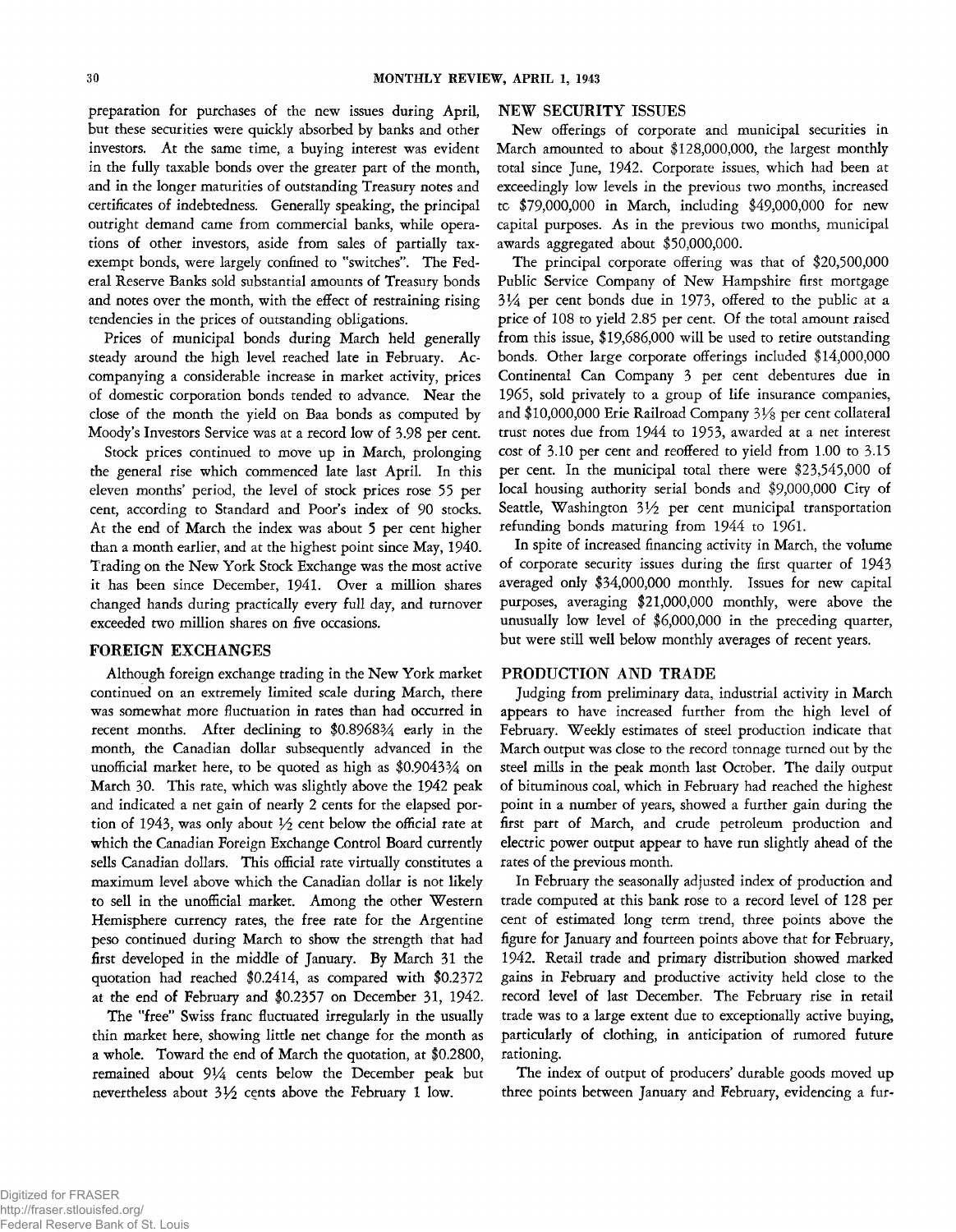**preparation for purchases of the new issues during April, but these securities were quickly absorbed by banks and other investors. At the same time, a buying interest was evident in the fully taxable bonds over the greater part of the month, and in the longer maturities of outstanding Treasury notes and certificates of indebtedness. Generally speaking, the principal outright demand came from commercial banks, while operations of other investors, aside from sales of partially taxexempt bonds, were largely confined to "switches". The Federal Reserve Banks sold substantial amounts of Treasury bonds and notes over the month, with the effect of restraining rising tendencies in the prices of outstanding obligations.**

**Prices of municipal bonds during March held generally steady around the high level reached late in February. Accompanying a considerable increase in market activity, prices of domestic corporation bonds tended to advance. Near the close of the month the yield on Baa bonds as computed by Moody's Investors Service was at a record low of 3.98 per cent.**

**Stock prices continued to move up in March, prolonging the general rise which commenced late last April. In this eleven months' period, the level of stock prices rose 55 per cent, according to Standard and Poor's index of 90 stocks. At the end of March the index was about 5 per cent higher than a month earlier, and at the highest point since May, 1940. Trading on the New York Stock Exchange was the most active it has been since December, 1941. Over a million shares changed hands during practically every full day, and turnover exceeded two million shares on five occasions.**

## **FOREIGN EXCHANGES**

**Although foreign exchange trading in the New York market continued on an extremely limited scale during March, there was somewhat more fluctuation in rates than had occurred in recent months. After declining to \$0.8968% early in the month, the Canadian dollar subsequently advanced in the unofficial market here, to be quoted as high as \$0.9043% on March 30. This rate, which was slightly above the 1942 peak and indicated a net gain of nearly 2 cents for the elapsed portion of 1943, was only about** *V2* **cent below the official rate at which the Canadian Foreign Exchange Control Board currently sells Canadian dollars. This official rate virtually constitutes a maximum level above which the Canadian dollar is not likely to sell in the unofficial market. Among the other Western Hemisphere currency rates, the free rate for the Argentine peso continued during March to show the strength that had first developed in the middle of January. By March 31 the quotation had reached \$0.2414, as compared with \$0.2372 at the end of February and \$0.2357 on December 31, 1942.**

**The "free" Swiss franc fluctuated irregularly in the usually thin market here, showing little net change for the month as a whole. Toward the end of March the quotation, at \$0.2800, remained about 9** *Va* **cents below the December peak but nevertheless about 3** *Vi* **cents above the February 1 low.**

## **NEW SECURITY ISSUES**

**New offerings of corporate and municipal securities in March amounted to about \$128,000,000, the largest monthly total since June, 1942. Corporate issues, which had been at exceedingly low levels in the previous two months, increased tc \$79,000,000 in March, including \$49,000,000 for new capital purposes. As in the previous two months, municipal awards aggregated about \$50,000,000.**

**The principal corporate offering was that of \$20,500,000 Public Service Company of New Hampshire first mortgage 3\*4 per cent bonds due in 1973, offered to the public at a price of 108 to yield 2.85 per cent. Of the total amount raised from this issue, \$19,686,000 will be used to retire outstanding bonds. Other large corporate offerings included \$14,000,000 Continental Can Company 3 per cent debentures due in 1965, sold privately to a group of life insurance companies, and \$10,000,000 Erie Railroad Company** *3 Vs* **per cent collateral trust notes due from 1944 to 1953, awarded at a net interest cost of 3.10 per cent and reoffered to yield from 1.00 to 3.15 per cent. In the municipal total there were \$23,545,000 of local housing authority serial bonds and \$9,000,000 City of** Seattle, Washington 31/2 per cent municipal transportation **refunding bonds maturing from 1944 to 1961.**

**In spite of increased financing activity in March, the volume of corporate security issues during the first quarter of 1943 averaged only \$34,000,000 monthly. Issues for new capital purposes, averaging \$21,000,000 monthly, were above the unusually low level of \$6,000,000 in the preceding quarter, but were still well below monthly averages of recent years.**

## **PRODUCTION AND TRADE**

**Judging from preliminary data, industrial activity in March appears to have increased further from the high level of February. Weekly estimates of steel production indicate that March output was close to the record tonnage turned out by the steel mills in the peak month last October. The daily output of bituminous coal, which in February had reached the highest point in a number of years, showed a further gain during the first part of March, and crude petroleum production and electric power output appear to have run slightly ahead of the rates of the previous month.**

**In February the seasonally adjusted index of production and trade computed at this bank rose to a record level of 128 per cent of estimated long term trend, three points above the figure for January and fourteen points above that for February, 1942. Retail trade and primary distribution showed marked gains in February and productive activity held close to the record level of last December. The February rise in retail trade was to a large extent due to exceptionally active buying, particularly of clothing, in anticipation of rumored future rationing.**

**The index of output of producers' durable goods moved up three points between January and February, evidencing a fur-**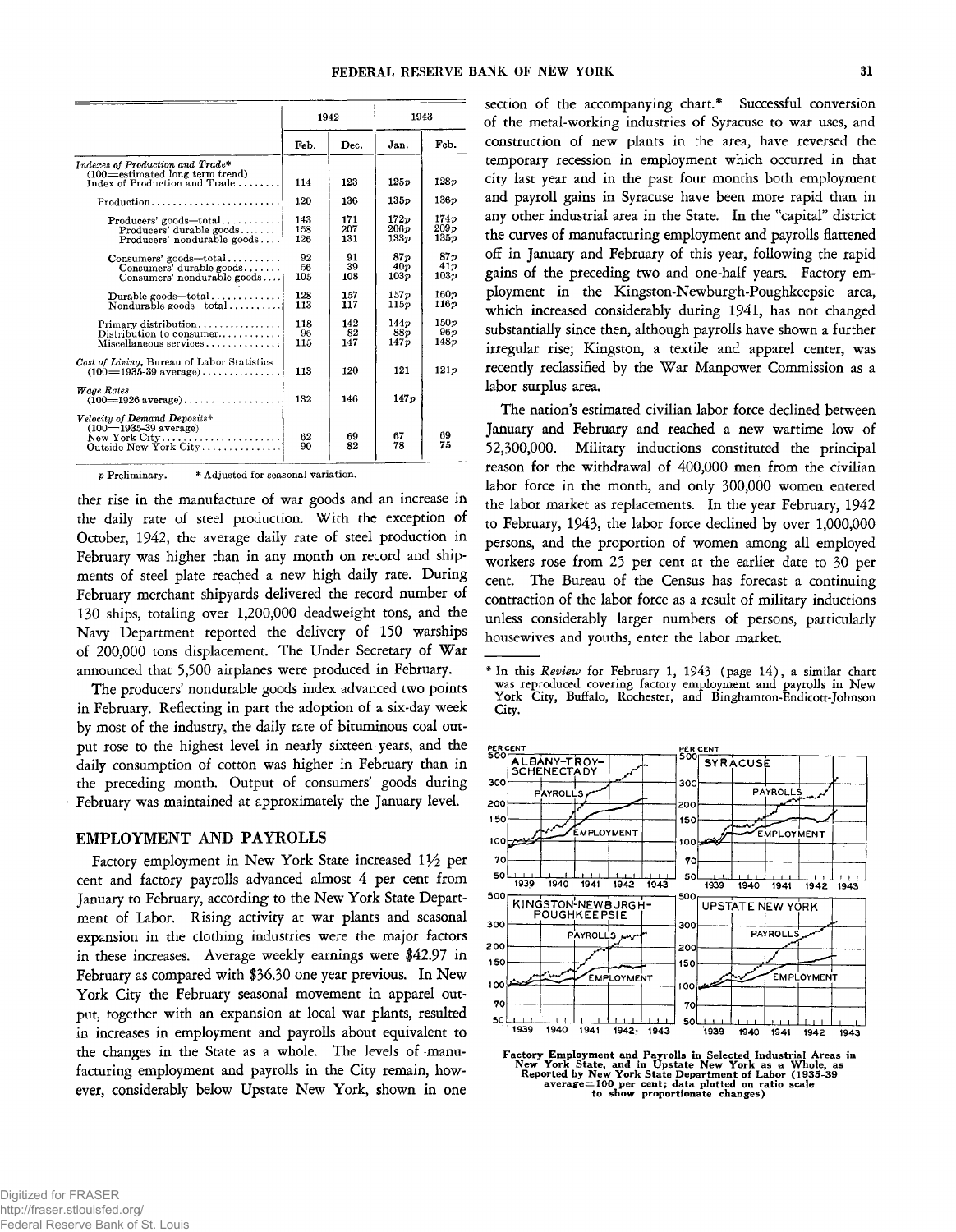|                                                                                                          | 1942              |                   | 1943                             |                      |
|----------------------------------------------------------------------------------------------------------|-------------------|-------------------|----------------------------------|----------------------|
|                                                                                                          | Feb.              | Dec.              | Jan.                             | Feb.                 |
| Indexes of Production and Trade*<br>$(100 =$ estimated long term trend)<br>Index of Production and Trade | 114               | 123               | 125p                             | 128p                 |
| $Production \ldots \ldots \ldots \ldots \ldots \ldots \ldots$                                            | 120               | 136               | 135p                             | 136p                 |
| $Producers' goods-total.\dots\dots\dots$<br>Producers' durable goods<br>Producers' nondurable goods      | 143<br>158<br>126 | 171<br>207<br>131 | 172p<br>206p<br>133 <sub>p</sub> | 174p<br>209p<br>135p |
| $\text{Consumes}'$ goods-total<br>Consumes' durable goods<br>Consumers' nondurable goods                 | 92<br>56<br>105   | 91<br>39<br>108   | 87 p<br>40 <sub>p</sub><br>103p  | 87n<br>41p<br>103p   |
| Durable goods—total<br>Nondurable goods-total                                                            | 128<br>113        | 157<br>117        | 157x<br>115p                     | 160p<br>116p         |
| $Primary$ distribution<br>Distribution to consumer<br>Miscellaneous services                             | 118<br>96<br>115  | 142<br>82<br>147  | 144p<br>88 v<br>147p             | 150p<br>96p<br>148p  |
| Cost of Living, Bureau of Labor Statistics<br>$(100=1935-39 \text{ average})$                            | 113               | 120               | 121                              | 121p                 |
| Wage Rates<br>$(100=1926$ average)                                                                       | 132               | 146               | 147p                             |                      |
| Velocity of Demand Deposits*<br>$(100=1935-39$ average)<br>New York $City$<br>Outside New York City      | 62<br>90          | 69<br>82          | 67<br>78                         | 69<br>75             |

**p Preliminary. \* Adjusted for seasonal variation.**

**ther rise in the manufacture of war goods and an increase in the daily rate of steel production. W ith the exception of October, 1942, the average daily rate of steel production in February was higher than in any month on record and shipments of steel plate reached a new high daily rate. During February merchant shipyards delivered the record number of 130 ships, totaling over 1,200,000 deadweight tons, and the Navy Department reported the delivery of 150 warships of 200,000 tons displacement. The Under Secretary of War announced that 5,500 airplanes were produced in February.**

**The producers' nondurable goods index advanced two points in February. Reflecting in part the adoption of a six-day week by most of the industry, the daily rate of bituminous coal output rose to the highest level in nearly sixteen years, and the daily consumption of cotton was higher in February than in the preceding month. Output of consumers' goods during February was maintained at approximately the January level.**

#### **EMPLOYMENT AND PAYROLLS**

Factory employment in New York State increased 11<sup>/2</sup> per **cent and factory payrolls advanced almost 4 per cent from January to February, according to the New York State Department of Labor. Rising activity at war plants and seasonal expansion in the clothing industries were the major factors in these increases. Average weekly earnings were \$42.97 in February as compared with \$36.30 one year previous. In New York City the February seasonal movement in apparel output, together with an expansion at local war plants, resulted in increases in employment and payrolls about equivalent to the changes in the State as a whole. The levels of -manufacturing employment and payrolls in the City remain, however, considerably below Upstate New York, shown in one**

**section of the accompanying chart.\* Successful conversion of the metal-working industries of Syracuse to war uses, and construction of new plants in the area, have reversed the temporary recession in employment which occurred in that city last year and in the past four months both employment and payroll gains in Syracuse have been more rapid than in any other industrial area in the State. In the "capital" district the curves of manufacturing employment and payrolls flattened off in January and February of this year, following the rapid gains of the preceding two and one-half years. Factory employment in the Kingston-Newburgh-Poughkeepsie area, which increased considerably during 1941, has not changed substantially since then, although payrolls have shown a further irregular rise; Kingston, a textile and apparel center, was recently reclassified by the War Manpower Commission as a labor surplus area.**

**The nation's estimated civilian labor force declined between January and February and reached a new wartime low of 52,300,000. Military inductions constituted the principal reason for the withdrawal of 400,000 men from the civilian labor force in the month, and only 300,000 women entered the labor market as replacements. In the year February, 1942 to February, 1943, the labor force declined by over 1,000,000 persons, and the proportion of women among all employed workers rose from 25 per cent at the earlier date to 30 per cent. The Bureau of the Census has forecast a continuing contraction of the labor force as a result of military inductions unless considerably larger numbers of persons, particularly housewives and youths, enter the labor market. -------------------------------------------------------------------------------------------------------------** *y -* **-------------------------------------------------------------------------------------------------------------------------- FI-**

**<sup>\*</sup> In this** *R eview* **for February 1, 1943 (page 14), a similar chart was reproduced covering factory employment and payrolls in New York City, Buffalo, Rochester, and Binghamton-Endicott-Johnson City.**



Factory Employment and Payrolls in Selected Industrial Areas in<br>New York State, and in Upstate New York as a Whole, as<br>Reported by New York State Department of Labor (1935-39<br>average=100 per cent; data plotted on ratio sca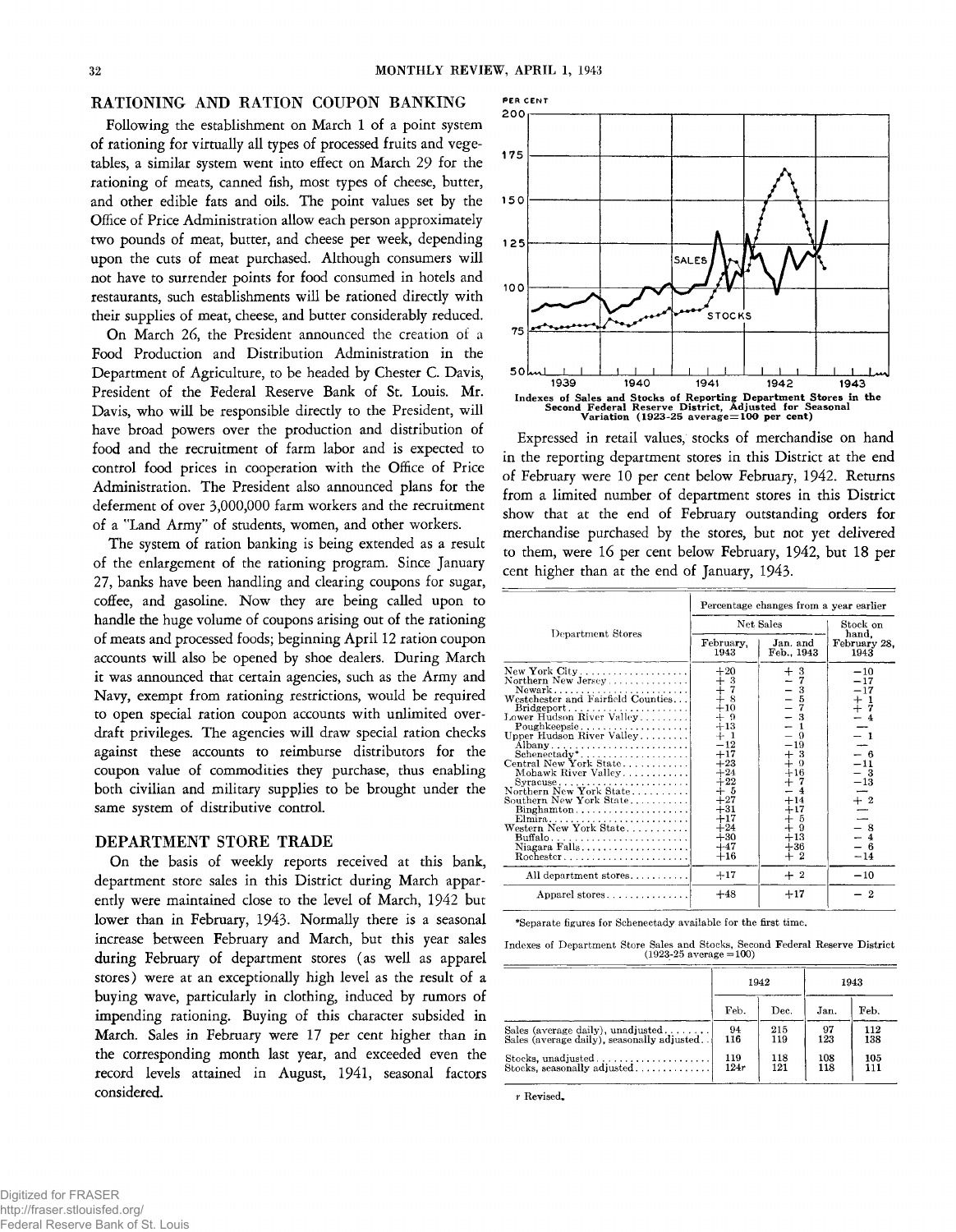## RATIONING AND RATION COUPON BANKING

**Following the establishment on March 1 of a point system of rationing for virtually all types of processed fruits and vegetables, a similar system went into effect on March 29 for the rationing of meats, canned fish, most types of cheese, butter, and other edible fats and oils. The point values set by the Office of Price Administration allow each person approximately two pounds of meat, butter, and cheese per week, depending upon the cuts of meat purchased. Although consumers will not have to surrender points for food consumed in hotels and restaurants, such establishments will be rationed directly with their supplies of meat, cheese, and butter considerably reduced.**

**On March 26, the President announced the creation of a Food Production and Distribution Administration in the Department of Agriculture, to be headed by Chester C. Davis, President of the Federal Reserve Bank of St. Louis. Mr. Davis, who will be responsible directly to the President, will have broad powers over the production and distribution of food and the recruitment of farm labor and is expected to control food prices in cooperation with the Office of Price Administration. The President also announced plans for the deferment of over 3,000,000 farm workers and the recruitment of a "Land Army" of students, women, and other workers.**

**The system of ration banking is being extended as a result of the enlargement of the rationing program. Since January 27, banks have been handling and clearing coupons for sugar, coffee, and gasoline. Now they are being called upon to handle the huge volume of coupons arising out of the rationing of meats and processed foods; beginning April 12 ration coupon accounts will also be opened by shoe dealers. During March it was announced that certain agencies, such as the Army and Navy, exempt from rationing restrictions, would be required to open special ration coupon accounts with unlimited overdraft privileges. The agencies will draw special ration checks against these accounts to reimburse distributors for the coupon value of commodities they purchase, thus enabling both civilian and military supplies to be brought under the same system of distributive control.**

## **DEPARTMENT STORE TRADE**

**On the basis of weekly reports received at this bank, department store sales in this District during March apparently were maintained close to the level of March, 1942 but lower than in February, 1943. Normally there is a seasonal increase between February and March, but this year sales during February of department stores (as well as apparel stores) were at an exceptionally high level as the result of a buying wave, particularly in clothing, induced by rumors of impending rationing. Buying of this character subsided in March. Sales in February were 17 per cent higher than in the corresponding month last year, and exceeded even the record levels attained in August, 1941, seasonal factors considered.**



**Expressed in retail values, stocks of merchandise on hand in the reporting department stores in this District at the end of February were 10 per cent below February, 1942. Returns from a limited number of department stores in this District show that at the end of February outstanding orders for merchandise purchased by the stores, but not yet delivered to them, were 16 per cent below February, 1942, but 18 per cent higher than at the end of January, 1943.**

|                                                                                                                                                                                                                                                                                                                                                                                                                                  | Percentage changes from a year earlier                                                                                                                                                |                                                                                                                                                                                      |                                                                                                                                      |  |
|----------------------------------------------------------------------------------------------------------------------------------------------------------------------------------------------------------------------------------------------------------------------------------------------------------------------------------------------------------------------------------------------------------------------------------|---------------------------------------------------------------------------------------------------------------------------------------------------------------------------------------|--------------------------------------------------------------------------------------------------------------------------------------------------------------------------------------|--------------------------------------------------------------------------------------------------------------------------------------|--|
| Department Stores                                                                                                                                                                                                                                                                                                                                                                                                                | Net Sales                                                                                                                                                                             | Stock on<br>hand.                                                                                                                                                                    |                                                                                                                                      |  |
|                                                                                                                                                                                                                                                                                                                                                                                                                                  | February,<br>1943                                                                                                                                                                     | Jan. and<br>Feb., 1943                                                                                                                                                               | February 28.<br>1943                                                                                                                 |  |
| New York $\textrm{City} \dots \dots \dots \dots \dots \dots$<br>Northern New Jersey<br>Newark<br>Westchester and Fairfield Counties<br>Poughkeepsie<br>Upper Hudson River Valley<br>Albany<br>Schenectady*<br>Central New York State<br>Mohawk River Valley<br>Northern New York State<br>Southern New York State<br>$Binghamton \ldots \ldots \ldots \ldots \ldots \ldots$<br>Elmira<br>Western New York State<br>Niagara Falls | $+20$<br>$+3\atop{+}7\atop{+}8$<br>$+10$<br>$+9$<br>$+13$<br>$+1$<br>$-12$<br>$+17$<br>$+23$<br>$+24$<br>$+22$<br>$+5$<br>$+27$<br>$+31$<br>$+17$<br>$+24$<br>$+30$<br>$+47$<br>$+16$ | $+$<br>3<br>7<br>3<br>5<br>$-3$<br>$\Omega$<br>$-19$<br>$+3$<br>$+16$<br>$+7$<br>$+14$<br>$+17$<br>$\begin{smallmatrix} + & 5 \\ + & 9 \end{smallmatrix}$<br>$+13$<br>$+36$<br>$+~2$ | $-10$<br>$-17$<br>$-17$<br>$+1$<br>$-1$<br>$-4$<br>- 6<br>$-11$<br>$\frac{-13}{-13}$<br>$rac{+2}{-}$<br>$-8$<br>$-4$<br>- 6<br>$-14$ |  |
| All department stores                                                                                                                                                                                                                                                                                                                                                                                                            | $+17$                                                                                                                                                                                 | $+2$                                                                                                                                                                                 | $-10$                                                                                                                                |  |
| Apparel stores                                                                                                                                                                                                                                                                                                                                                                                                                   | $+48$                                                                                                                                                                                 | $+17$                                                                                                                                                                                | $\boldsymbol{2}$                                                                                                                     |  |

**\*Separate figures for Schenectady available for the first time.**

**Indexes of Department Store Sales and Stocks, Second Federal Reserve District (1923-25 average = 100)**

|                                            | 1942 |      | 1943 |      |
|--------------------------------------------|------|------|------|------|
|                                            | Feb. | Dec. | Jan. | Feb. |
| Sales (average daily), unadjusted          | 94   | 215  | 97   | 112  |
| Sales (average daily), seasonally adjusted | 116  | 119  | 123  | 138  |
|                                            | 119  | 118  | 108  | 105  |
| Stocks, seasonally adjusted                | 124r | 121  | 118  | 111  |

*r* **Revised.**